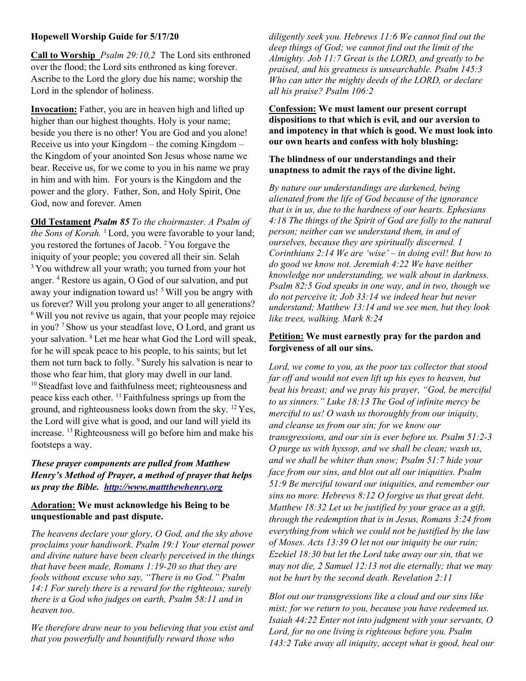### Hopewell Worship Guide for 5/17/20

Call to Worship *Psalm 29:10,2* The Lord sits enthroned over the flood; the Lord sits enthroned as king forever. Ascribe to the Lord the glory due his name; worship the Lord in the splendor of holiness.

Invocation: Father, you are in heaven high and lifted up higher than our highest thoughts. Holy is your name; beside you there is no other! You are God and you alone! Receive us into your Kingdom – the coming Kingdom – the Kingdom of your anointed Son Jesus whose name we bear. Receive us, for we come to you in his name we pray in him and with him. For yours is the Kingdom and the power and the glory. Father, Son, and Holy Spirit, One God, now and forever. Amen

Old Testament Psalm 85 To the choirmaster. A Psalm of the Sons of Korah.  $\frac{1}{2}$  Lord, you were favorable to your land; you restored the fortunes of Jacob. <sup>2</sup>You forgave the iniquity of your people; you covered all their sin. Selah <sup>3</sup>You withdrew all your wrath; you turned from your hot anger. <sup>4</sup>Restore us again, O God of our salvation, and put away your indignation toward us! <sup>5</sup> Will you be angry with us forever? Will you prolong your anger to all generations? <sup>6</sup> Will you not revive us again, that your people may rejoice in you? <sup>7</sup>Show us your steadfast love, O Lord, and grant us your salvation. <sup>8</sup>Let me hear what God the Lord will speak, for he will speak peace to his people, to his saints; but let them not turn back to folly. <sup>9</sup> Surely his salvation is near to those who fear him, that glory may dwell in our land. <sup>10</sup> Steadfast love and faithfulness meet; righteousness and peace kiss each other.  $^{11}$  Faithfulness springs up from the ground, and righteousness looks down from the sky. <sup>12</sup>Yes, the Lord will give what is good, and our land will yield its increase. <sup>13</sup> Righteousness will go before him and make his footsteps a way.

## These prayer components are pulled from Matthew Henry's Method of Prayer, a method of prayer that helps us pray the Bible. http://www.mattthewhenry.org

### Adoration: We must acknowledge his Being to be unquestionable and past dispute.

The heavens declare your glory, O God, and the sky above proclaims your handiwork. Psalm 19:1 Your eternal power and divine nature have been clearly perceived in the things that have been made, Romans  $1:19-20$  so that they are fools without excuse who say, "There is no God." Psalm 14:1 For surely there is a reward for the righteous; surely there is a God who judges on earth, Psalm 58:11 and in heaven too.

We therefore draw near to you believing that you exist and that you powerfully and bountifully reward those who

diligently seek you. Hebrews 11:6 We cannot find out the deep things of God; we cannot find out the limit of the Almighty. Job 11:7 Great is the LORD, and greatly to be praised, and his greatness is unsearchable. Psalm 145:3 Who can utter the mighty deeds of the LORD, or declare all his praise? Psalm 106:2

Confession: We must lament our present corrupt dispositions to that which is evil, and our aversion to and impotency in that which is good. We must look into our own hearts and confess with holy blushing:

## The blindness of our understandings and their unaptness to admit the rays of the divine light.

By nature our understandings are darkened, being alienated from the life of God because of the ignorance that is in us, due to the hardness of our hearts. Ephesians 4:18 The things of the Spirit of God are folly to the natural person; neither can we understand them, in and of ourselves, because they are spiritually discerned. 1 Corinthians  $2:14$  We are 'wise' – in doing evil! But how to do good we know not. Jeremiah 4:22 We have neither knowledge nor understanding, we walk about in darkness. Psalm 82:5 God speaks in one way, and in two, though we do not perceive it; Job 33:14 we indeed hear but never understand; Matthew 13:14 and we see men, but they look like trees, walking. Mark 8:24

# Petition: We must earnestly pray for the pardon and forgiveness of all our sins.

Lord, we come to you, as the poor tax collector that stood far off and would not even lift up his eyes to heaven, but beat his breast; and we pray his prayer, "God, be merciful to us sinners." Luke 18:13 The God of infinite mercy be merciful to us! O wash us thoroughly from our iniquity, and cleanse us from our sin; for we know our transgressions, and our sin is ever before us. Psalm 51:2-3 O purge us with hyssop, and we shall be clean; wash us, and we shall be whiter than snow; Psalm 51:7 hide your face from our sins, and blot out all our iniquities. Psalm 51:9 Be merciful toward our iniquities, and remember our sins no more. Hebrews 8:12 O forgive us that great debt. Matthew 18:32 Let us be justified by your grace as a gift, through the redemption that is in Jesus, Romans 3:24 from everything from which we could not be justified by the law of Moses. Acts 13:39 O let not our iniquity be our ruin; Ezekiel 18:30 but let the Lord take away our sin, that we may not die, 2 Samuel 12:13 not die eternally; that we may not be hurt by the second death. Revelation 2:11

Blot out our transgressions like a cloud and our sins like mist; for we return to you, because you have redeemed us. Isaiah 44:22 Enter not into judgment with your servants, O Lord, for no one living is righteous before you. Psalm 143:2 Take away all iniquity, accept what is good, heal our